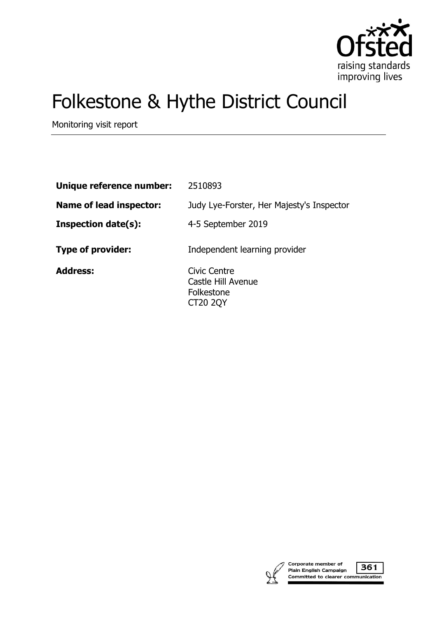

# Folkestone & Hythe District Council

Monitoring visit report

| Unique reference number:       | 2510893                                                             |
|--------------------------------|---------------------------------------------------------------------|
| <b>Name of lead inspector:</b> | Judy Lye-Forster, Her Majesty's Inspector                           |
| <b>Inspection date(s):</b>     | 4-5 September 2019                                                  |
| <b>Type of provider:</b>       | Independent learning provider                                       |
| <b>Address:</b>                | Civic Centre<br>Castle Hill Avenue<br>Folkestone<br><b>CT20 2QY</b> |



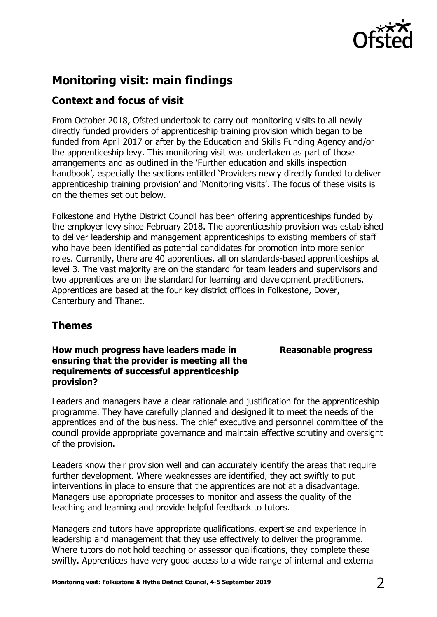

# **Monitoring visit: main findings**

## **Context and focus of visit**

From October 2018, Ofsted undertook to carry out monitoring visits to all newly directly funded providers of apprenticeship training provision which began to be funded from April 2017 or after by the Education and Skills Funding Agency and/or the apprenticeship levy. This monitoring visit was undertaken as part of those arrangements and as outlined in the 'Further education and skills inspection handbook', especially the sections entitled 'Providers newly directly funded to deliver apprenticeship training provision' and 'Monitoring visits'. The focus of these visits is on the themes set out below.

Folkestone and Hythe District Council has been offering apprenticeships funded by the employer levy since February 2018. The apprenticeship provision was established to deliver leadership and management apprenticeships to existing members of staff who have been identified as potential candidates for promotion into more senior roles. Currently, there are 40 apprentices, all on standards-based apprenticeships at level 3. The vast majority are on the standard for team leaders and supervisors and two apprentices are on the standard for learning and development practitioners. Apprentices are based at the four key district offices in Folkestone, Dover, Canterbury and Thanet.

## **Themes**

## **How much progress have leaders made in ensuring that the provider is meeting all the requirements of successful apprenticeship provision?**

#### Leaders and managers have a clear rationale and justification for the apprenticeship programme. They have carefully planned and designed it to meet the needs of the apprentices and of the business. The chief executive and personnel committee of the council provide appropriate governance and maintain effective scrutiny and oversight of the provision.

Leaders know their provision well and can accurately identify the areas that require further development. Where weaknesses are identified, they act swiftly to put interventions in place to ensure that the apprentices are not at a disadvantage. Managers use appropriate processes to monitor and assess the quality of the teaching and learning and provide helpful feedback to tutors.

Managers and tutors have appropriate qualifications, expertise and experience in leadership and management that they use effectively to deliver the programme. Where tutors do not hold teaching or assessor qualifications, they complete these swiftly. Apprentices have very good access to a wide range of internal and external

## **Reasonable progress**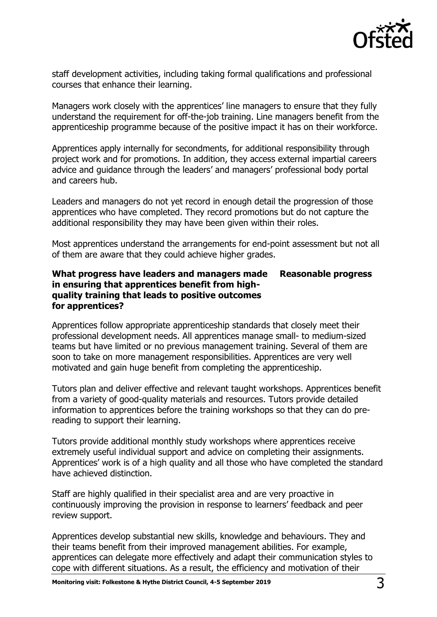

staff development activities, including taking formal qualifications and professional courses that enhance their learning.

Managers work closely with the apprentices' line managers to ensure that they fully understand the requirement for off-the-job training. Line managers benefit from the apprenticeship programme because of the positive impact it has on their workforce.

Apprentices apply internally for secondments, for additional responsibility through project work and for promotions. In addition, they access external impartial careers advice and guidance through the leaders' and managers' professional body portal and careers hub.

Leaders and managers do not yet record in enough detail the progression of those apprentices who have completed. They record promotions but do not capture the additional responsibility they may have been given within their roles.

Most apprentices understand the arrangements for end-point assessment but not all of them are aware that they could achieve higher grades.

#### **What progress have leaders and managers made in ensuring that apprentices benefit from highquality training that leads to positive outcomes for apprentices? Reasonable progress**

Apprentices follow appropriate apprenticeship standards that closely meet their professional development needs. All apprentices manage small- to medium-sized teams but have limited or no previous management training. Several of them are soon to take on more management responsibilities. Apprentices are very well motivated and gain huge benefit from completing the apprenticeship.

Tutors plan and deliver effective and relevant taught workshops. Apprentices benefit from a variety of good-quality materials and resources. Tutors provide detailed information to apprentices before the training workshops so that they can do prereading to support their learning.

Tutors provide additional monthly study workshops where apprentices receive extremely useful individual support and advice on completing their assignments. Apprentices' work is of a high quality and all those who have completed the standard have achieved distinction.

Staff are highly qualified in their specialist area and are very proactive in continuously improving the provision in response to learners' feedback and peer review support.

Apprentices develop substantial new skills, knowledge and behaviours. They and their teams benefit from their improved management abilities. For example, apprentices can delegate more effectively and adapt their communication styles to cope with different situations. As a result, the efficiency and motivation of their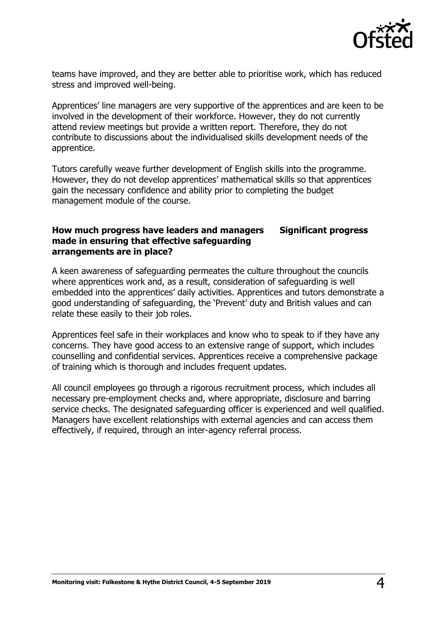

teams have improved, and they are better able to prioritise work, which has reduced stress and improved well-being.

Apprentices' line managers are very supportive of the apprentices and are keen to be involved in the development of their workforce. However, they do not currently attend review meetings but provide a written report. Therefore, they do not contribute to discussions about the individualised skills development needs of the apprentice.

Tutors carefully weave further development of English skills into the programme. However, they do not develop apprentices' mathematical skills so that apprentices gain the necessary confidence and ability prior to completing the budget management module of the course.

#### **How much progress have leaders and managers made in ensuring that effective safeguarding arrangements are in place? Significant progress**

A keen awareness of safeguarding permeates the culture throughout the councils where apprentices work and, as a result, consideration of safeguarding is well embedded into the apprentices' daily activities. Apprentices and tutors demonstrate a good understanding of safeguarding, the 'Prevent' duty and British values and can relate these easily to their job roles.

Apprentices feel safe in their workplaces and know who to speak to if they have any concerns. They have good access to an extensive range of support, which includes counselling and confidential services. Apprentices receive a comprehensive package of training which is thorough and includes frequent updates.

All council employees go through a rigorous recruitment process, which includes all necessary pre-employment checks and, where appropriate, disclosure and barring service checks. The designated safeguarding officer is experienced and well qualified. Managers have excellent relationships with external agencies and can access them effectively, if required, through an inter-agency referral process.